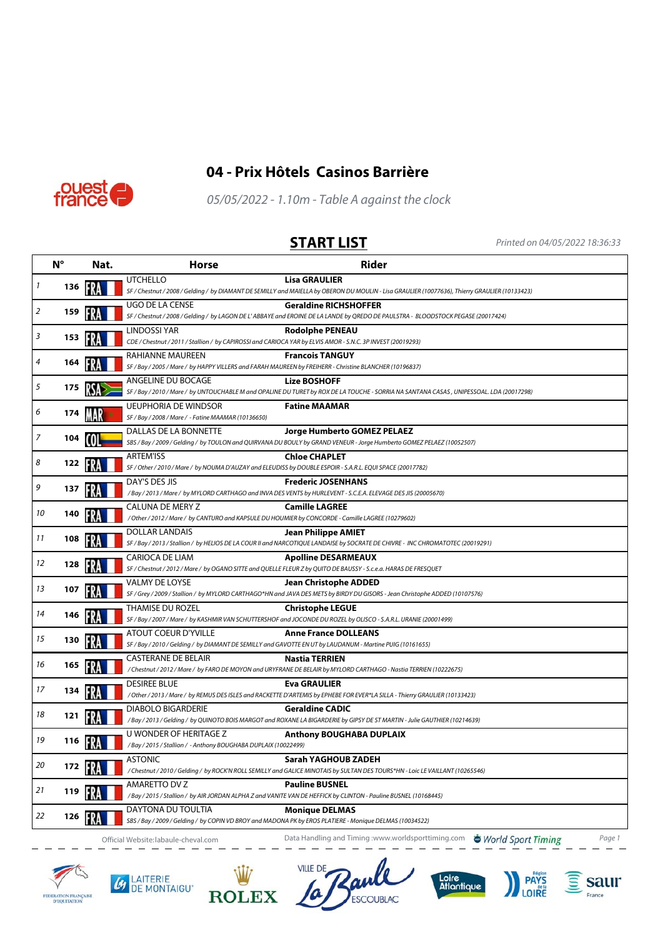





05/05/2022 - 1.10m - Table A against the clock

**START LIST** Printed on 04/05/2022 18:36:33

|                            | $N^{\circ}$ | Nat. | <b>Horse</b>                                                                             | <b>Rider</b>                                                                                                                                                           |
|----------------------------|-------------|------|------------------------------------------------------------------------------------------|------------------------------------------------------------------------------------------------------------------------------------------------------------------------|
| $\boldsymbol{\mathcal{I}}$ | 136         |      | <b>UTCHELLO</b>                                                                          | <b>Lisa GRAULIER</b><br>SF / Chestnut / 2008 / Gelding / by DIAMANT DE SEMILLY and MAIELLA by OBERON DU MOULIN - Lisa GRAULIER (10077636), Thierry GRAULIER (10133423) |
| $\boldsymbol{2}$           | 159         |      | UGO DE LA CENSE                                                                          | <b>Geraldine RICHSHOFFER</b><br>SF / Chestnut / 2008 / Gelding / by LAGON DE L'ABBAYE and EROINE DE LA LANDE by QREDO DE PAULSTRA - BLOODSTOCK PEGASE (20017424)       |
| 3                          | 153         |      | LINDOSSI YAR                                                                             | <b>Rodolphe PENEAU</b><br>CDE / Chestnut / 2011 / Stallion / by CAPIROSSI and CARIOCA YAR by ELVIS AMOR - S.N.C. 3P INVEST (20019293)                                  |
| 4                          | 164         |      | RAHIANNE MAUREEN                                                                         | <b>Francois TANGUY</b><br>SF / Bay / 2005 / Mare / by HAPPY VILLERS and FARAH MAUREEN by FREIHERR - Christine BLANCHER (10196837)                                      |
| 5                          | 175         |      | ANGELINE DU BOCAGE                                                                       | <b>Lize BOSHOFF</b><br>SF / Bay / 2010 / Mare / by UNTOUCHABLE M and OPALINE DU TURET by ROX DE LA TOUCHE - SORRIA NA SANTANA CASAS, UNIPESSOAL. LDA (20017298)        |
| 6                          | 174         |      | <b>UEUPHORIA DE WINDSOR</b><br>SF / Bay / 2008 / Mare / - Fatine MAAMAR (10136650)       | <b>Fatine MAAMAR</b>                                                                                                                                                   |
| $\overline{7}$             | 104         |      | DALLAS DE LA BONNETTE                                                                    | Jorge Humberto GOMEZ PELAEZ<br>SBS / Bay / 2009 / Gelding / by TOULON and QUIRVANA DU BOULY by GRAND VENEUR - Jorge Humberto GOMEZ PELAEZ (10052507)                   |
| 8                          | 122         |      | <b>ARTEM'ISS</b>                                                                         | <b>Chloe CHAPLET</b><br>SF / Other / 2010 / Mare / by NOUMA D'AUZAY and ELEUDISS by DOUBLE ESPOIR - S.A.R.L. EQUI SPACE (20017782)                                     |
| 9                          | 137         |      | DAY'S DES JIS                                                                            | <b>Frederic JOSENHANS</b><br>/Bay / 2013 / Mare / by MYLORD CARTHAGO and INVA DES VENTS by HURLEVENT - S.C.E.A. ELEVAGE DES JIS (20005670)                             |
| 10                         | 140         |      | CALUNA DE MERY Z                                                                         | <b>Camille LAGREE</b><br>/ Other / 2012 / Mare / by CANTURO and KAPSULE DU HOUMIER by CONCORDE - Camille LAGREE (10279602)                                             |
| 11                         | 108         |      | <b>DOLLAR LANDAIS</b>                                                                    | <b>Jean Philippe AMIET</b><br>SF / Bay / 2013 / Stallion / by HELIOS DE LA COUR II and NARCOTIQUE LANDAISE by SOCRATE DE CHIVRE - INC CHROMATOTEC (20019291)           |
| 12                         | 128         |      | <b>CARIOCA DE LIAM</b>                                                                   | <b>Apolline DESARMEAUX</b><br>SF / Chestnut / 2012 / Mare / by OGANO SITTE and QUELLE FLEUR Z by QUITO DE BAUSSY - S.c.e.a. HARAS DE FRESQUET                          |
| 13                         | 107         |      | <b>VALMY DE LOYSE</b>                                                                    | <b>Jean Christophe ADDED</b><br>SF / Grey / 2009 / Stallion / by MYLORD CARTHAGO*HN and JAVA DES METS by BIRDY DU GISORS - Jean Christophe ADDED (10107576)            |
| 14                         | 146         |      | <b>THAMISE DU ROZEL</b>                                                                  | <b>Christophe LEGUE</b><br>SF / Bay / 2007 / Mare / by KASHMIR VAN SCHUTTERSHOF and JOCONDE DU ROZEL by OLISCO - S.A.R.L. URANIE (20001499)                            |
| 15                         | 130         |      | <b>ATOUT COEUR D'YVILLE</b>                                                              | <b>Anne France DOLLEANS</b><br>SF / Bay / 2010 / Gelding / by DIAMANT DE SEMILLY and GAVOTTE EN UT by LAUDANUM - Martine PUIG (10161655)                               |
| 16                         | 165         |      | <b>CASTERANE DE BELAIR</b>                                                               | <b>Nastia TERRIEN</b><br>/Chestnut/2012/Mare/ by FARO DE MOYON and URYFRANE DE BELAIR by MYLORD CARTHAGO - Nastia TERRIEN (10222675)                                   |
| 17                         | 134         |      | <b>DESIREE BLUE</b>                                                                      | <b>Eva GRAULIER</b><br>/ Other / 2013 / Mare / by REMUS DES ISLES and RACKETTE D'ARTEMIS by EPHEBE FOR EVER*LA SILLA - Thierry GRAULIER (10133423)                     |
| 18                         | 121         |      | <b>DIABOLO BIGARDERIE</b>                                                                | <b>Geraldine CADIC</b><br>/Bay / 2013 / Gelding / by QUINOTO BOIS MARGOT and ROXANE LA BIGARDERIE by GIPSY DE ST MARTIN - Julie GAUTHIER (10214639)                    |
| 19                         | 116         |      | U WONDER OF HERITAGE Z<br>/Bay / 2015 / Stallion / - Anthony BOUGHABA DUPLAIX (10022499) | <b>Anthony BOUGHABA DUPLAIX</b>                                                                                                                                        |
| 20                         | 172         |      | ASTONIC                                                                                  | Sarah YAGHOUB ZADEH<br>/ Chestnut / 2010 / Gelding / by ROCK'N ROLL SEMILLY and GALICE MINOTAIS by SULTAN DES TOURS*HN - Loic LE VAILLANT (10265546)                   |
| 21                         | 119         |      | <b>AMARETTO DV Z</b>                                                                     | <b>Pauline BUSNEL</b><br>/Bay / 2015 / Stallion / by AIR JORDAN ALPHA Z and VANITE VAN DE HEFFICK by CLINTON - Pauline BUSNEL (10168445)                               |
| 22                         | 126         |      | DAYTONA DU TOULTIA                                                                       | <b>Monique DELMAS</b><br>SBS / Bay / 2009 / Gelding / by COPIN VD BROY and MADONA PK by EROS PLATIERE - Monique DELMAS (10034522)                                      |

Official Website: labaule-cheval.com **Data Handling and Timing :www.worldsporttiming.com The World Sport Timing**  $\frac{1}{2} \frac{1}{2} \frac{1}{2} \frac{1}{2} \frac{1}{2} \frac{1}{2} \frac{1}{2} \frac{1}{2} \frac{1}{2} \frac{1}{2} \frac{1}{2} \frac{1}{2} \frac{1}{2} \frac{1}{2} \frac{1}{2} \frac{1}{2} \frac{1}{2} \frac{1}{2} \frac{1}{2} \frac{1}{2} \frac{1}{2} \frac{1}{2} \frac{1}{2} \frac{1}{2} \frac{1}{2} \frac{1}{2} \frac{1}{2} \frac{1}{2} \frac{1}{2} \frac{1}{2} \frac{1}{2} \frac{$ 



 $\mathcal{L}$